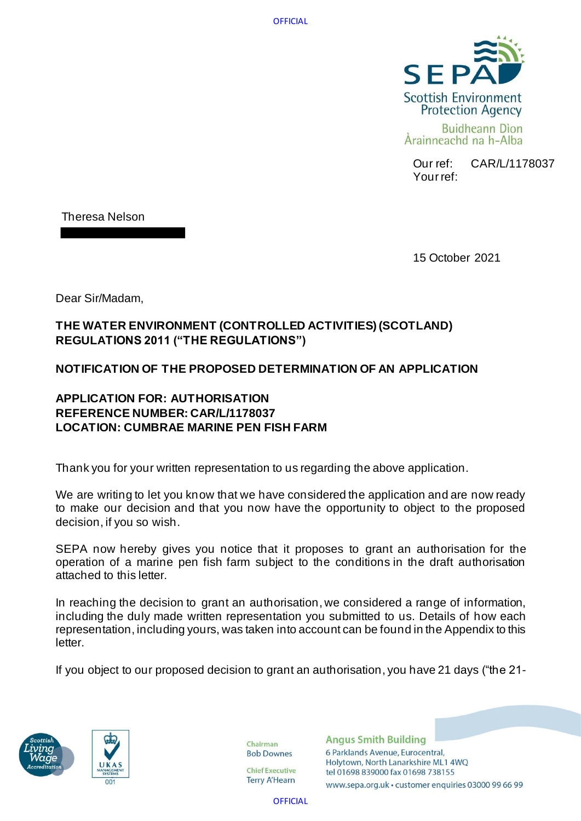

Our ref: CAR/L/1178037 Your ref:

Theresa Nelson

15 October 2021

Dear Sir/Madam,

# **THE WATER ENVIRONMENT (CONTROLLED ACTIVITIES) (SCOTLAND) REGULATIONS 2011 ("THE REGULATIONS")**

# **NOTIFICATION OF THE PROPOSED DETERMINATION OF AN APPLICATION**

# **APPLICATION FOR: AUTHORISATION REFERENCE NUMBER: CAR/L/1178037 LOCATION: CUMBRAE MARINE PEN FISH FARM**

Thank you for your written representation to us regarding the above application.

We are writing to let you know that we have considered the application and are now ready to make our decision and that you now have the opportunity to object to the proposed decision, if you so wish.

SEPA now hereby gives you notice that it proposes to grant an authorisation for the operation of a marine pen fish farm subject to the conditions in the draft authorisation attached to this letter.

In reaching the decision to grant an authorisation, we considered a range of information, including the duly made written representation you submitted to us. Details of how each representation, including yours, was taken into account can be found in the Appendix to this letter.

If you object to our proposed decision to grant an authorisation, you have 21 days ("the 21-





Chairman **Bob Downes** 

**Chief Executive Terry A'Hearn** 

**Angus Smith Building** 6 Parklands Avenue, Eurocentral, Holytown, North Lanarkshire ML1 4WQ tel 01698 839000 fax 01698 738155

www.sepa.org.uk · customer enquiries 03000 99 66 99

**OFFICIAL**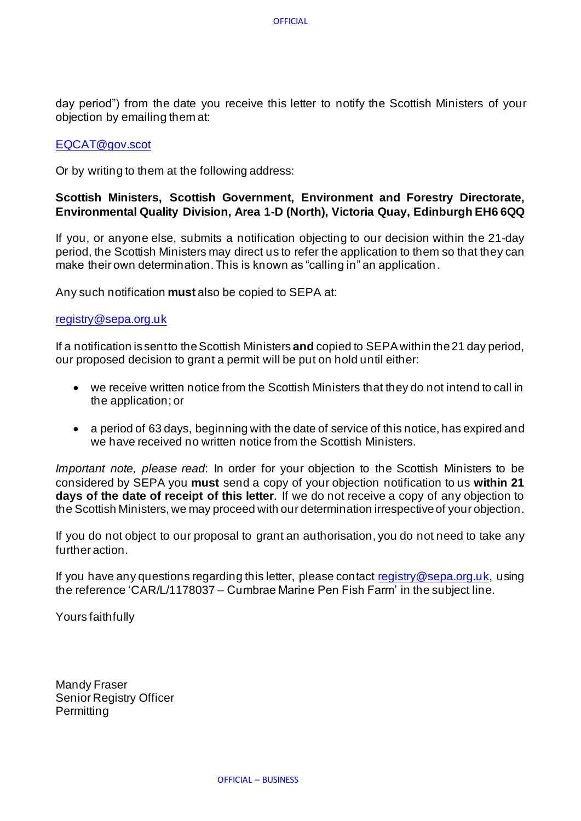day period") from the date you receive this letter to notify the Scottish Ministers of your objection by emailing them at:

## [EQCAT@gov.scot](mailto:EQCAT@gov.scot)

Or by writing to them at the following address:

# **Scottish Ministers, Scottish Government, Environment and Forestry Directorate, Environmental Quality Division, Area 1-D (North), Victoria Quay, Edinburgh EH6 6QQ**

If you, or anyone else, submits a notification objecting to our decision within the 21-day period, the Scottish Ministers may direct us to refer the application to them so that they can make their own determination. This is known as "calling in" an application .

Any such notification **must** also be copied to SEPA at:

## [registry@sepa.org.uk](mailto:registry@sepa.org.uk)

If a notification is sent to the Scottish Ministers **and** copied to SEPA within the 21 day period, our proposed decision to grant a permit will be put on hold until either:

- we receive written notice from the Scottish Ministers that they do not intend to call in the application; or
- a period of 63 days, beginning with the date of service of this notice, has expired and we have received no written notice from the Scottish Ministers.

*Important note, please read*: In order for your objection to the Scottish Ministers to be considered by SEPA you **must** send a copy of your objection notification to us **within 21 days of the date of receipt of this letter**. If we do not receive a copy of any objection to the Scottish Ministers, we may proceed with our determination irrespective of your objection.

If you do not object to our proposal to grant an authorisation, you do not need to take any further action.

If you have any questions regarding this letter, please contact [registry@sepa.org.uk,](mailto:registry@sepa.org.uk) using the reference 'CAR/L/1178037 – Cumbrae Marine Pen Fish Farm' in the subject line.

Yours faithfully

Mandy Fraser Senior Registry Officer **Permitting**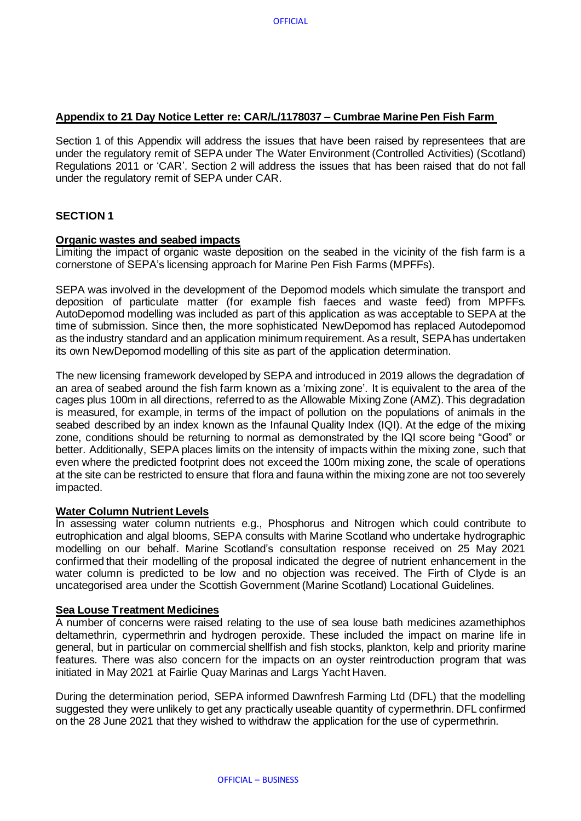## **Appendix to 21 Day Notice Letter re: CAR/L/1178037 – Cumbrae Marine Pen Fish Farm**

Section 1 of this Appendix will address the issues that have been raised by representees that are under the regulatory remit of SEPA under The Water Environment (Controlled Activities) (Scotland) Regulations 2011 or 'CAR'. Section 2 will address the issues that has been raised that do not fall under the regulatory remit of SEPA under CAR.

## **SECTION 1**

#### **Organic wastes and seabed impacts**

Limiting the impact of organic waste deposition on the seabed in the vicinity of the fish farm is a cornerstone of SEPA's licensing approach for Marine Pen Fish Farms (MPFFs).

SEPA was involved in the development of the Depomod models which simulate the transport and deposition of particulate matter (for example fish faeces and waste feed) from MPFFs. AutoDepomod modelling was included as part of this application as was acceptable to SEPA at the time of submission. Since then, the more sophisticated NewDepomod has replaced Autodepomod as the industry standard and an application minimum requirement. As a result, SEPA has undertaken its own NewDepomod modelling of this site as part of the application determination.

The new licensing framework developed by SEPA and introduced in 2019 allows the degradation of an area of seabed around the fish farm known as a 'mixing zone'. It is equivalent to the area of the cages plus 100m in all directions, referred to as the Allowable Mixing Zone (AMZ). This degradation is measured, for example, in terms of the impact of pollution on the populations of animals in the seabed described by an index known as the Infaunal Quality Index (IQI). At the edge of the mixing zone, conditions should be returning to normal as demonstrated by the IQI score being "Good" or better. Additionally, SEPA places limits on the intensity of impacts within the mixing zone, such that even where the predicted footprint does not exceed the 100m mixing zone, the scale of operations at the site can be restricted to ensure that flora and fauna within the mixing zone are not too severely impacted.

#### **Water Column Nutrient Levels**

In assessing water column nutrients e.g., Phosphorus and Nitrogen which could contribute to eutrophication and algal blooms, SEPA consults with Marine Scotland who undertake hydrographic modelling on our behalf. Marine Scotland's consultation response received on 25 May 2021 confirmed that their modelling of the proposal indicated the degree of nutrient enhancement in the water column is predicted to be low and no objection was received. The Firth of Clyde is an uncategorised area under the Scottish Government (Marine Scotland) Locational Guidelines.

#### **Sea Louse Treatment Medicines**

A number of concerns were raised relating to the use of sea louse bath medicines azamethiphos deltamethrin, cypermethrin and hydrogen peroxide. These included the impact on marine life in general, but in particular on commercial shellfish and fish stocks, plankton, kelp and priority marine features. There was also concern for the impacts on an oyster reintroduction program that was initiated in May 2021 at Fairlie Quay Marinas and Largs Yacht Haven.

During the determination period, SEPA informed Dawnfresh Farming Ltd (DFL) that the modelling suggested they were unlikely to get any practically useable quantity of cypermethrin. DFL confirmed on the 28 June 2021 that they wished to withdraw the application for the use of cypermethrin.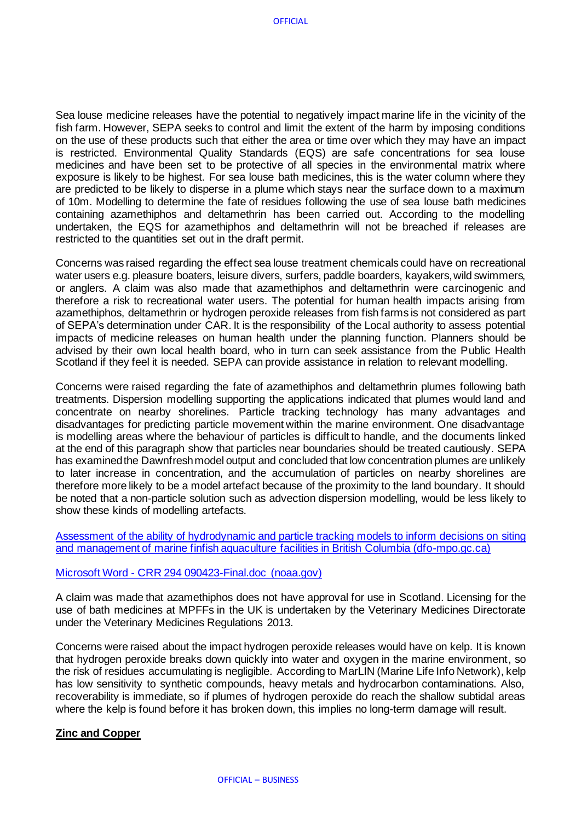Sea louse medicine releases have the potential to negatively impact marine life in the vicinity of the fish farm. However, SEPA seeks to control and limit the extent of the harm by imposing conditions on the use of these products such that either the area or time over which they may have an impact is restricted. Environmental Quality Standards (EQS) are safe concentrations for sea louse medicines and have been set to be protective of all species in the environmental matrix where exposure is likely to be highest. For sea louse bath medicines, this is the water column where they are predicted to be likely to disperse in a plume which stays near the surface down to a maximum of 10m. Modelling to determine the fate of residues following the use of sea louse bath medicines containing azamethiphos and deltamethrin has been carried out. According to the modelling undertaken, the EQS for azamethiphos and deltamethrin will not be breached if releases are restricted to the quantities set out in the draft permit.

Concerns was raised regarding the effect sea louse treatment chemicals could have on recreational water users e.g. pleasure boaters, leisure divers, surfers, paddle boarders, kayakers, wild swimmers, or anglers. A claim was also made that azamethiphos and deltamethrin were carcinogenic and therefore a risk to recreational water users. The potential for human health impacts arising from azamethiphos, deltamethrin or hydrogen peroxide releases from fish farms is not considered as part of SEPA's determination under CAR. It is the responsibility of the Local authority to assess potential impacts of medicine releases on human health under the planning function. Planners should be advised by their own local health board, who in turn can seek assistance from the Public Health Scotland if they feel it is needed. SEPA can provide assistance in relation to relevant modelling.

Concerns were raised regarding the fate of azamethiphos and deltamethrin plumes following bath treatments. Dispersion modelling supporting the applications indicated that plumes would land and concentrate on nearby shorelines. Particle tracking technology has many advantages and disadvantages for predicting particle movement within the marine environment. One disadvantage is modelling areas where the behaviour of particles is difficult to handle, and the documents linked at the end of this paragraph show that particles near boundaries should be treated cautiously. SEPA has examined the Dawnfresh model output and concluded that low concentration plumes are unlikely to later increase in concentration, and the accumulation of particles on nearby shorelines are therefore more likely to be a model artefact because of the proximity to the land boundary. It should be noted that a non-particle solution such as advection dispersion modelling, would be less likely to show these kinds of modelling artefacts.

[Assessment of the ability of hydrodynamic and particle tracking models to inform decisions on](https://waves-vagues.dfo-mpo.gc.ca/Library/40712679.pdf) siting [and management of marine finfish aquaculture facilities in British Columbia \(dfo-mpo.gc.ca\)](https://waves-vagues.dfo-mpo.gc.ca/Library/40712679.pdf)

#### Microsoft Word - [CRR 294 090423-Final.doc \(noaa.gov\)](https://www.pmel.noaa.gov/foci/publications/2009/bric0722.pdf)

A claim was made that azamethiphos does not have approval for use in Scotland. Licensing for the use of bath medicines at MPFFs in the UK is undertaken by the Veterinary Medicines Directorate under the Veterinary Medicines Regulations 2013.

Concerns were raised about the impact hydrogen peroxide releases would have on kelp. It is known that hydrogen peroxide breaks down quickly into water and oxygen in the marine environment, so the risk of residues accumulating is negligible. According to MarLIN (Marine Life Info Network), kelp has low sensitivity to synthetic compounds, heavy metals and hydrocarbon contaminations. Also, recoverability is immediate, so if plumes of hydrogen peroxide do reach the shallow subtidal areas where the kelp is found before it has broken down, this implies no long-term damage will result.

## **Zinc and Copper**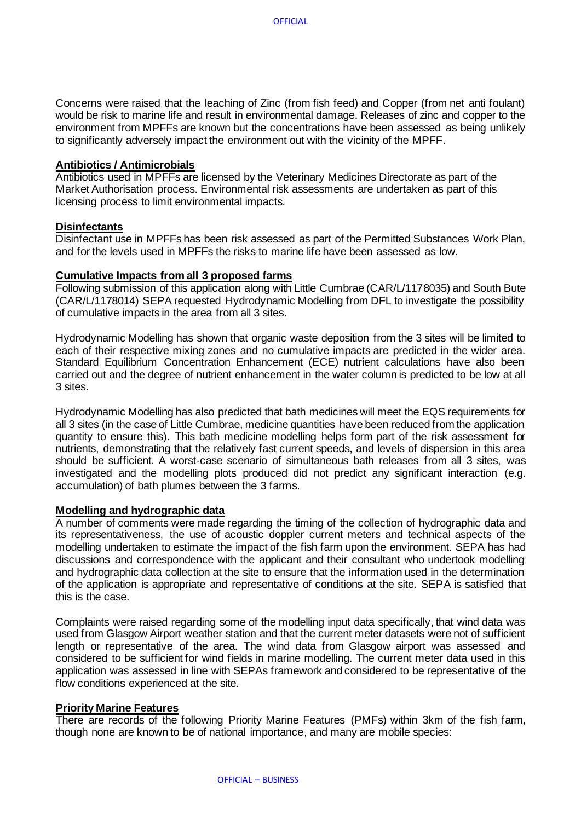Concerns were raised that the leaching of Zinc (from fish feed) and Copper (from net anti foulant) would be risk to marine life and result in environmental damage. Releases of zinc and copper to the environment from MPFFs are known but the concentrations have been assessed as being unlikely to significantly adversely impact the environment out with the vicinity of the MPFF.

#### **Antibiotics / Antimicrobials**

Antibiotics used in MPFFs are licensed by the Veterinary Medicines Directorate as part of the Market Authorisation process. Environmental risk assessments are undertaken as part of this licensing process to limit environmental impacts.

#### **Disinfectants**

Disinfectant use in MPFFs has been risk assessed as part of the Permitted Substances Work Plan, and for the levels used in MPFFs the risks to marine life have been assessed as low.

#### **Cumulative Impacts from all 3 proposed farms**

Following submission of this application along with Little Cumbrae (CAR/L/1178035) and South Bute (CAR/L/1178014) SEPA requested Hydrodynamic Modelling from DFL to investigate the possibility of cumulative impacts in the area from all 3 sites.

Hydrodynamic Modelling has shown that organic waste deposition from the 3 sites will be limited to each of their respective mixing zones and no cumulative impacts are predicted in the wider area. Standard Equilibrium Concentration Enhancement (ECE) nutrient calculations have also been carried out and the degree of nutrient enhancement in the water column is predicted to be low at all 3 sites.

Hydrodynamic Modelling has also predicted that bath medicines will meet the EQS requirements for all 3 sites (in the case of Little Cumbrae, medicine quantities have been reduced from the application quantity to ensure this). This bath medicine modelling helps form part of the risk assessment for nutrients, demonstrating that the relatively fast current speeds, and levels of dispersion in this area should be sufficient. A worst-case scenario of simultaneous bath releases from all 3 sites, was investigated and the modelling plots produced did not predict any significant interaction (e.g. accumulation) of bath plumes between the 3 farms.

#### **Modelling and hydrographic data**

A number of comments were made regarding the timing of the collection of hydrographic data and its representativeness, the use of acoustic doppler current meters and technical aspects of the modelling undertaken to estimate the impact of the fish farm upon the environment. SEPA has had discussions and correspondence with the applicant and their consultant who undertook modelling and hydrographic data collection at the site to ensure that the information used in the determination of the application is appropriate and representative of conditions at the site. SEPA is satisfied that this is the case.

Complaints were raised regarding some of the modelling input data specifically, that wind data was used from Glasgow Airport weather station and that the current meter datasets were not of sufficient length or representative of the area. The wind data from Glasgow airport was assessed and considered to be sufficient for wind fields in marine modelling. The current meter data used in this application was assessed in line with SEPAs framework and considered to be representative of the flow conditions experienced at the site.

#### **Priority Marine Features**

There are records of the following Priority Marine Features (PMFs) within 3km of the fish farm, though none are known to be of national importance, and many are mobile species: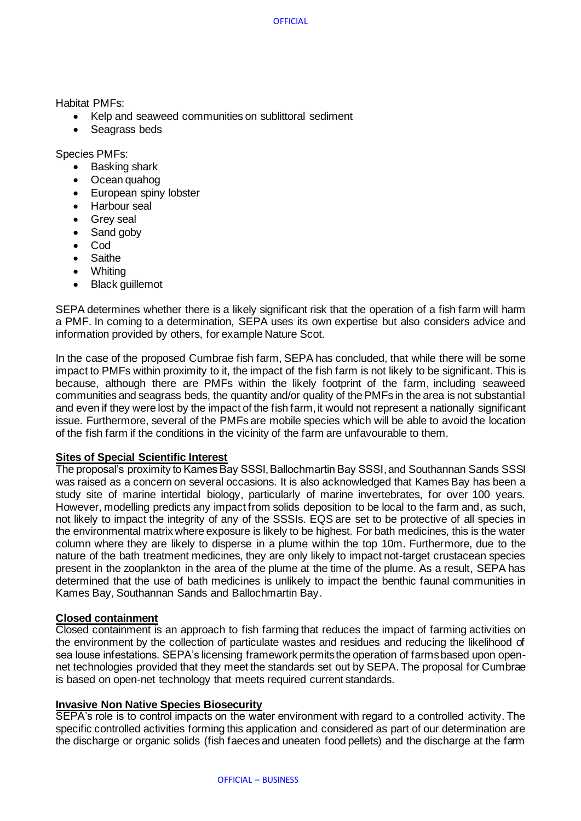Habitat PMFs:

- Kelp and seaweed communities on sublittoral sediment
- Seagrass beds

Species PMFs:

- Basking shark
- Ocean quahog
- European spiny lobster
- Harbour seal
- Grey seal
- Sand goby
- Cod
- Saithe
- Whiting
- **Black guillemot**

SEPA determines whether there is a likely significant risk that the operation of a fish farm will harm a PMF. In coming to a determination, SEPA uses its own expertise but also considers advice and information provided by others, for example Nature Scot.

In the case of the proposed Cumbrae fish farm, SEPA has concluded, that while there will be some impact to PMFs within proximity to it, the impact of the fish farm is not likely to be significant. This is because, although there are PMFs within the likely footprint of the farm, including seaweed communities and seagrass beds, the quantity and/or quality of the PMFs in the area is not substantial and even if they were lost by the impact of the fish farm, it would not represent a nationally significant issue. Furthermore, several of the PMFs are mobile species which will be able to avoid the location of the fish farm if the conditions in the vicinity of the farm are unfavourable to them.

## **Sites of Special Scientific Interest**

The proposal's proximity to Kames Bay SSSI, Ballochmartin Bay SSSI, and Southannan Sands SSSI was raised as a concern on several occasions. It is also acknowledged that Kames Bay has been a study site of marine intertidal biology, particularly of marine invertebrates, for over 100 years. However, modelling predicts any impact from solids deposition to be local to the farm and, as such, not likely to impact the integrity of any of the SSSIs. EQS are set to be protective of all species in the environmental matrix where exposure is likely to be highest. For bath medicines, this is the water column where they are likely to disperse in a plume within the top 10m. Furthermore, due to the nature of the bath treatment medicines, they are only likely to impact not-target crustacean species present in the zooplankton in the area of the plume at the time of the plume. As a result, SEPA has determined that the use of bath medicines is unlikely to impact the benthic faunal communities in Kames Bay, Southannan Sands and Ballochmartin Bay.

## **Closed containment**

Closed containment is an approach to fish farming that reduces the impact of farming activities on the environment by the collection of particulate wastes and residues and reducing the likelihood of sea louse infestations. SEPA's licensing framework permits the operation of farms based upon opennet technologies provided that they meet the standards set out by SEPA. The proposal for Cumbrae is based on open-net technology that meets required current standards.

## **Invasive Non Native Species Biosecurity**

SEPA's role is to control impacts on the water environment with regard to a controlled activity. The specific controlled activities forming this application and considered as part of our determination are the discharge or organic solids (fish faeces and uneaten food pellets) and the discharge at the farm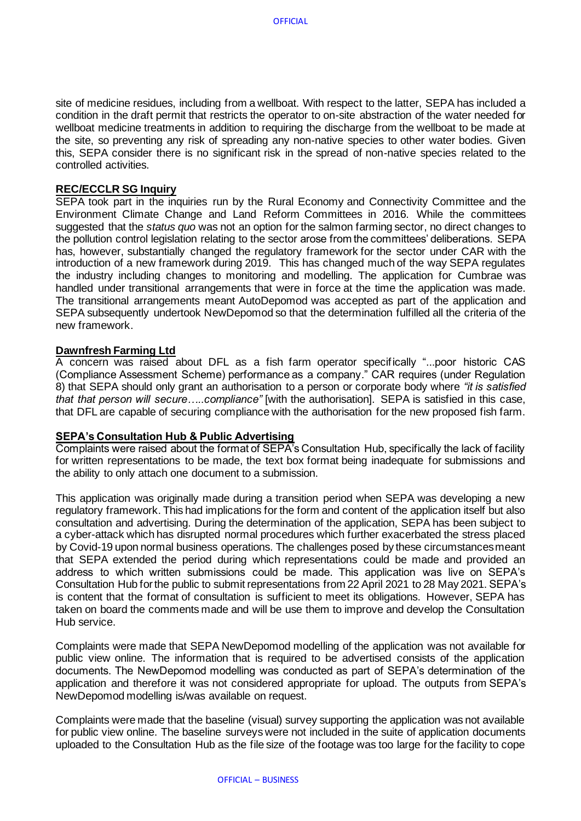site of medicine residues, including from a wellboat. With respect to the latter, SEPA has included a condition in the draft permit that restricts the operator to on-site abstraction of the water needed for wellboat medicine treatments in addition to requiring the discharge from the wellboat to be made at the site, so preventing any risk of spreading any non-native species to other water bodies. Given this, SEPA consider there is no significant risk in the spread of non-native species related to the controlled activities.

#### **REC/ECCLR SG Inquiry**

SEPA took part in the inquiries run by the Rural Economy and Connectivity Committee and the Environment Climate Change and Land Reform Committees in 2016. While the committees suggested that the *status quo* was not an option for the salmon farming sector, no direct changes to the pollution control legislation relating to the sector arose from the committees' deliberations. SEPA has, however, substantially changed the regulatory framework for the sector under CAR with the introduction of a new framework during 2019. This has changed much of the way SEPA regulates the industry including changes to monitoring and modelling. The application for Cumbrae was handled under transitional arrangements that were in force at the time the application was made. The transitional arrangements meant AutoDepomod was accepted as part of the application and SEPA subsequently undertook NewDepomod so that the determination fulfilled all the criteria of the new framework.

## **Dawnfresh Farming Ltd**

A concern was raised about DFL as a fish farm operator specifically "...poor historic CAS (Compliance Assessment Scheme) performance as a company." CAR requires (under Regulation 8) that SEPA should only grant an authorisation to a person or corporate body where *"it is satisfied that that person will secure…..compliance"* [with the authorisation]. SEPA is satisfied in this case, that DFL are capable of securing compliance with the authorisation for the new proposed fish farm.

#### **SEPA's Consultation Hub & Public Advertising**

Complaints were raised about the format of SEPA's Consultation Hub, specifically the lack of facility for written representations to be made, the text box format being inadequate for submissions and the ability to only attach one document to a submission.

This application was originally made during a transition period when SEPA was developing a new regulatory framework. This had implications for the form and content of the application itself but also consultation and advertising. During the determination of the application, SEPA has been subject to a cyber-attack which has disrupted normal procedures which further exacerbated the stress placed by Covid-19 upon normal business operations. The challenges posed by these circumstances meant that SEPA extended the period during which representations could be made and provided an address to which written submissions could be made. This application was live on SEPA's Consultation Hub for the public to submit representations from 22 April 2021 to 28 May 2021. SEPA's is content that the format of consultation is sufficient to meet its obligations. However, SEPA has taken on board the comments made and will be use them to improve and develop the Consultation Hub service.

Complaints were made that SEPA NewDepomod modelling of the application was not available for public view online. The information that is required to be advertised consists of the application documents. The NewDepomod modelling was conducted as part of SEPA's determination of the application and therefore it was not considered appropriate for upload. The outputs from SEPA's NewDepomod modelling is/was available on request.

Complaints were made that the baseline (visual) survey supporting the application was not available for public view online. The baseline surveys were not included in the suite of application documents uploaded to the Consultation Hub as the file size of the footage was too large for the facility to cope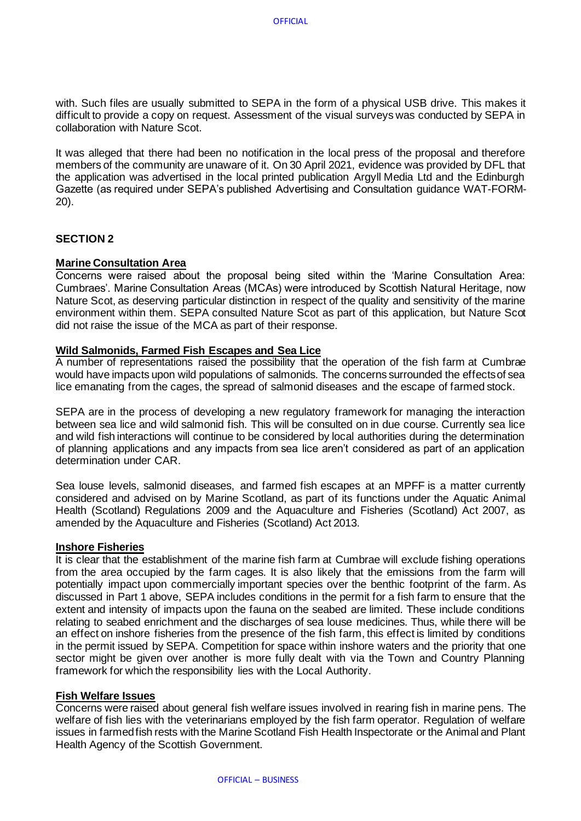with. Such files are usually submitted to SEPA in the form of a physical USB drive. This makes it difficult to provide a copy on request. Assessment of the visual surveys was conducted by SEPA in collaboration with Nature Scot.

It was alleged that there had been no notification in the local press of the proposal and therefore members of the community are unaware of it. On 30 April 2021, evidence was provided by DFL that the application was advertised in the local printed publication Argyll Media Ltd and the Edinburgh Gazette (as required under SEPA's published Advertising and Consultation guidance WAT-FORM-20).

## **SECTION 2**

## **Marine Consultation Area**

Concerns were raised about the proposal being sited within the 'Marine Consultation Area: Cumbraes'. Marine Consultation Areas (MCAs) were introduced by Scottish Natural Heritage, now Nature Scot, as deserving particular distinction in respect of the quality and sensitivity of the marine environment within them. SEPA consulted Nature Scot as part of this application, but Nature Scot did not raise the issue of the MCA as part of their response.

## **Wild Salmonids, Farmed Fish Escapes and Sea Lice**

A number of representations raised the possibility that the operation of the fish farm at Cumbrae would have impacts upon wild populations of salmonids. The concerns surrounded the effects of sea lice emanating from the cages, the spread of salmonid diseases and the escape of farmed stock.

SEPA are in the process of developing a new regulatory framework for managing the interaction between sea lice and wild salmonid fish. This will be consulted on in due course. Currently sea lice and wild fish interactions will continue to be considered by local authorities during the determination of planning applications and any impacts from sea lice aren't considered as part of an application determination under CAR.

Sea louse levels, salmonid diseases, and farmed fish escapes at an MPFF is a matter currently considered and advised on by Marine Scotland, as part of its functions under the Aquatic Animal Health (Scotland) Regulations 2009 and the Aquaculture and Fisheries (Scotland) Act 2007, as amended by the Aquaculture and Fisheries (Scotland) Act 2013.

#### **Inshore Fisheries**

It is clear that the establishment of the marine fish farm at Cumbrae will exclude fishing operations from the area occupied by the farm cages. It is also likely that the emissions from the farm will potentially impact upon commercially important species over the benthic footprint of the farm. As discussed in Part 1 above, SEPA includes conditions in the permit for a fish farm to ensure that the extent and intensity of impacts upon the fauna on the seabed are limited. These include conditions relating to seabed enrichment and the discharges of sea louse medicines. Thus, while there will be an effect on inshore fisheries from the presence of the fish farm, this effect is limited by conditions in the permit issued by SEPA. Competition for space within inshore waters and the priority that one sector might be given over another is more fully dealt with via the Town and Country Planning framework for which the responsibility lies with the Local Authority.

#### **Fish Welfare Issues**

Concerns were raised about general fish welfare issues involved in rearing fish in marine pens. The welfare of fish lies with the veterinarians employed by the fish farm operator. Regulation of welfare issues in farmed fish rests with the Marine Scotland Fish Health Inspectorate or the Animal and Plant Health Agency of the Scottish Government.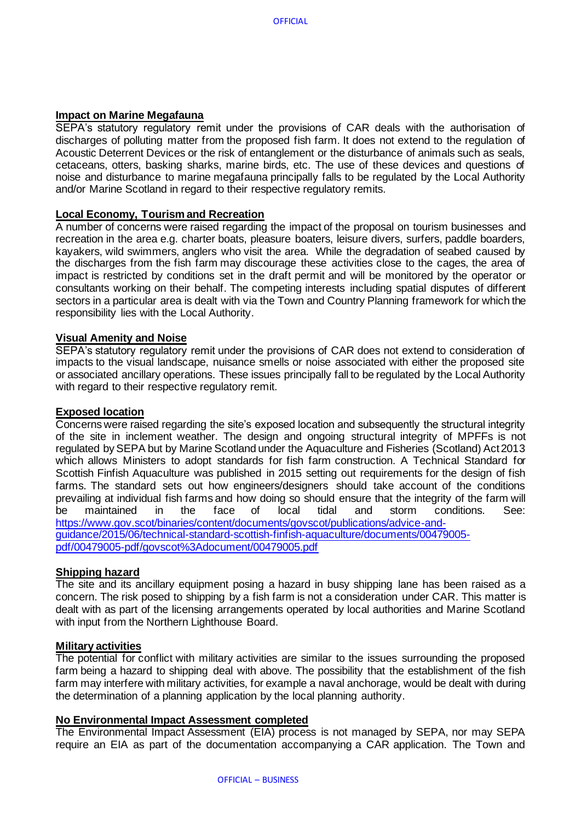## **Impact on Marine Megafauna**

SEPA's statutory regulatory remit under the provisions of CAR deals with the authorisation of discharges of polluting matter from the proposed fish farm. It does not extend to the regulation of Acoustic Deterrent Devices or the risk of entanglement or the disturbance of animals such as seals, cetaceans, otters, basking sharks, marine birds, etc. The use of these devices and questions of noise and disturbance to marine megafauna principally falls to be regulated by the Local Authority and/or Marine Scotland in regard to their respective regulatory remits.

## **Local Economy, Tourism and Recreation**

A number of concerns were raised regarding the impact of the proposal on tourism businesses and recreation in the area e.g. charter boats, pleasure boaters, leisure divers, surfers, paddle boarders, kayakers, wild swimmers, anglers who visit the area. While the degradation of seabed caused by the discharges from the fish farm may discourage these activities close to the cages, the area of impact is restricted by conditions set in the draft permit and will be monitored by the operator or consultants working on their behalf. The competing interests including spatial disputes of different sectors in a particular area is dealt with via the Town and Country Planning framework for which the responsibility lies with the Local Authority.

#### **Visual Amenity and Noise**

SEPA's statutory regulatory remit under the provisions of CAR does not extend to consideration of impacts to the visual landscape, nuisance smells or noise associated with either the proposed site or associated ancillary operations. These issues principally fall to be regulated by the Local Authority with regard to their respective regulatory remit.

#### **Exposed location**

Concerns were raised regarding the site's exposed location and subsequently the structural integrity of the site in inclement weather. The design and ongoing structural integrity of MPFFs is not regulated by SEPA but by Marine Scotland under the Aquaculture and Fisheries (Scotland) Act 2013 which allows Ministers to adopt standards for fish farm construction. A Technical Standard for Scottish Finfish Aquaculture was published in 2015 setting out requirements for the design of fish farms. The standard sets out how engineers/designers should take account of the conditions prevailing at individual fish farms and how doing so should ensure that the integrity of the farm will be maintained in the face of local tidal and storm conditions. See: [https://www.gov.scot/binaries/content/documents/govscot/publications/advice-and](https://www.gov.scot/binaries/content/documents/govscot/publications/advice-and-guidance/2015/06/technical-standard-scottish-finfish-aquaculture/documents/00479005-pdf/00479005-pdf/govscot%3Adocument/00479005.pdf)[guidance/2015/06/technical-standard-scottish-finfish-aquaculture/documents/00479005](https://www.gov.scot/binaries/content/documents/govscot/publications/advice-and-guidance/2015/06/technical-standard-scottish-finfish-aquaculture/documents/00479005-pdf/00479005-pdf/govscot%3Adocument/00479005.pdf) [pdf/00479005-pdf/govscot%3Adocument/00479005.pdf](https://www.gov.scot/binaries/content/documents/govscot/publications/advice-and-guidance/2015/06/technical-standard-scottish-finfish-aquaculture/documents/00479005-pdf/00479005-pdf/govscot%3Adocument/00479005.pdf)

#### **Shipping hazard**

The site and its ancillary equipment posing a hazard in busy shipping lane has been raised as a concern. The risk posed to shipping by a fish farm is not a consideration under CAR. This matter is dealt with as part of the licensing arrangements operated by local authorities and Marine Scotland with input from the Northern Lighthouse Board.

#### **Military activities**

The potential for conflict with military activities are similar to the issues surrounding the proposed farm being a hazard to shipping deal with above. The possibility that the establishment of the fish farm may interfere with military activities, for example a naval anchorage, would be dealt with during the determination of a planning application by the local planning authority.

#### **No Environmental Impact Assessment completed**

The Environmental Impact Assessment (EIA) process is not managed by SEPA, nor may SEPA require an EIA as part of the documentation accompanying a CAR application. The Town and